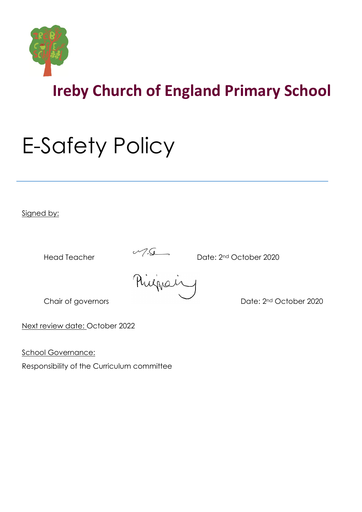

# E-Safety Policy

Signed by:

Head Teacher Date: 2<sup>nd</sup> October 2020<br>
Philippe in printing

Chair of governors **Date: 2nd October 2020** 

Next review date: October 2022

School Governance:

Responsibility of the Curriculum committee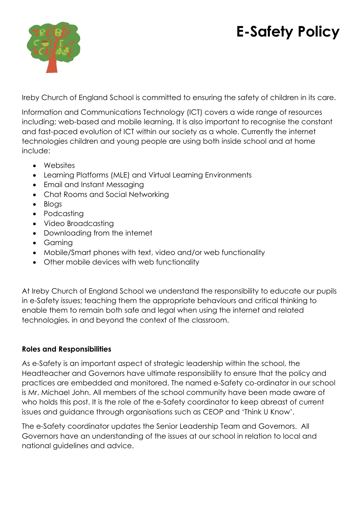# **E-Safety Policy**



Ireby Church of England School is committed to ensuring the safety of children in its care.

Information and Communications Technology (ICT) covers a wide range of resources including; web-based and mobile learning. It is also important to recognise the constant and fast-paced evolution of ICT within our society as a whole. Currently the internet technologies children and young people are using both inside school and at home include:

- Websites
- Learning Platforms (MLE) and Virtual Learning Environments
- Email and Instant Messaging
- Chat Rooms and Social Networking
- Blogs
- Podcasting
- Video Broadcasting
- Downloading from the internet
- Gaming
- Mobile/Smart phones with text, video and/or web functionality
- Other mobile devices with web functionality

At Ireby Church of England School we understand the responsibility to educate our pupils in e-Safety issues; teaching them the appropriate behaviours and critical thinking to enable them to remain both safe and legal when using the internet and related technologies, in and beyond the context of the classroom.

## **Roles and Responsibilities**

As e-Safety is an important aspect of strategic leadership within the school, the Headteacher and Governors have ultimate responsibility to ensure that the policy and practices are embedded and monitored. The named e-Safety co-ordinator in our school is Mr. Michael John. All members of the school community have been made aware of who holds this post. It is the role of the e-Safety coordinator to keep abreast of current issues and guidance through organisations such as CEOP and 'Think U Know'.

The e-Safety coordinator updates the Senior Leadership Team and Governors. All Governors have an understanding of the issues at our school in relation to local and national guidelines and advice.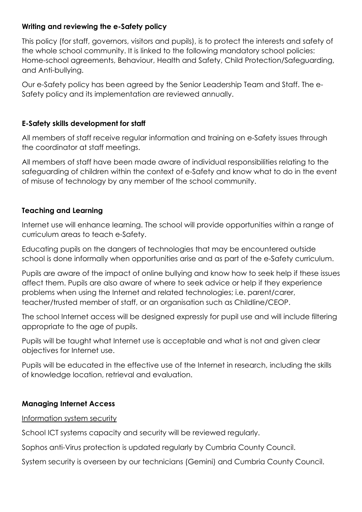#### **Writing and reviewing the e-Safety policy**

This policy (for staff, governors, visitors and pupils), is to protect the interests and safety of the whole school community. It is linked to the following mandatory school policies: Home-school agreements, Behaviour, Health and Safety, Child Protection/Safeguarding, and Anti-bullying.

Our e-Safety policy has been agreed by the Senior Leadership Team and Staff. The e-Safety policy and its implementation are reviewed annually.

#### **E-Safety skills development for staff**

All members of staff receive regular information and training on e-Safety issues through the coordinator at staff meetings.

All members of staff have been made aware of individual responsibilities relating to the safeguarding of children within the context of e-Safety and know what to do in the event of misuse of technology by any member of the school community.

#### **Teaching and Learning**

Internet use will enhance learning. The school will provide opportunities within a range of curriculum areas to teach e-Safety.

Educating pupils on the dangers of technologies that may be encountered outside school is done informally when opportunities arise and as part of the e-Safety curriculum.

Pupils are aware of the impact of online bullying and know how to seek help if these issues affect them. Pupils are also aware of where to seek advice or help if they experience problems when using the Internet and related technologies; i.e. parent/carer, teacher/trusted member of staff, or an organisation such as Childline/CEOP.

The school Internet access will be designed expressly for pupil use and will include filtering appropriate to the age of pupils.

Pupils will be taught what Internet use is acceptable and what is not and given clear objectives for Internet use.

Pupils will be educated in the effective use of the Internet in research, including the skills of knowledge location, retrieval and evaluation.

#### **Managing Internet Access**

Information system security

School ICT systems capacity and security will be reviewed regularly.

Sophos anti-Virus protection is updated regularly by Cumbria County Council.

System security is overseen by our technicians (Gemini) and Cumbria County Council.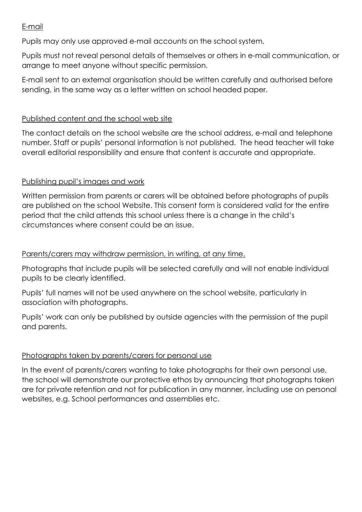#### E-mail

Pupils may only use approved e-mail accounts on the school system.

Pupils must not reveal personal details of themselves or others in e-mail communication, or arrange to meet anyone without specific permission.

E-mail sent to an external organisation should be written carefully and authorised before sending, in the same way as a letter written on school headed paper.

#### Published content and the school web site

The contact details on the school website are the school address, e-mail and telephone number. Staff or pupils' personal information is not published. The head teacher will take overall editorial responsibility and ensure that content is accurate and appropriate.

#### Publishing pupil's images and work

Written permission from parents or carers will be obtained before photographs of pupils are published on the school Website. This consent form is considered valid for the entire period that the child attends this school unless there is a change in the child's circumstances where consent could be an issue.

#### Parents/carers may withdraw permission, in writing, at any time.

Photographs that include pupils will be selected carefully and will not enable individual pupils to be clearly identified.

Pupils' full names will not be used anywhere on the school website, particularly in association with photographs.

Pupils' work can only be published by outside agencies with the permission of the pupil and parents.

#### Photographs taken by parents/carers for personal use

In the event of parents/carers wanting to take photographs for their own personal use, the school will demonstrate our protective ethos by announcing that photographs taken are for private retention and not for publication in any manner, including use on personal websites, e.g. School performances and assemblies etc.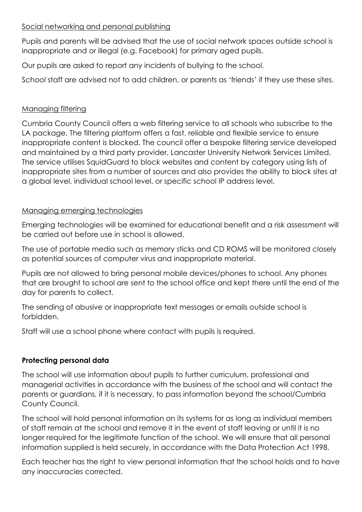#### Social networking and personal publishing

Pupils and parents will be advised that the use of social network spaces outside school is inappropriate and or illegal (e.g. Facebook) for primary aged pupils.

Our pupils are asked to report any incidents of bullying to the school.

School staff are advised not to add children, or parents as 'friends' if they use these sites.

# Managing filtering

Cumbria County Council offers a web filtering service to all schools who subscribe to the LA package. The filtering platform offers a fast, reliable and flexible service to ensure inappropriate content is blocked. The council offer a bespoke filtering service developed and maintained by a third party provider, Lancaster University Network Services Limited. The service utilises SquidGuard to block websites and content by category using lists of inappropriate sites from a number of sources and also provides the ability to block sites at a global level, individual school level, or specific school IP address level.

# Managing emerging technologies

Emerging technologies will be examined for educational benefit and a risk assessment will be carried out before use in school is allowed.

The use of portable media such as memory sticks and CD ROMS will be monitored closely as potential sources of computer virus and inappropriate material.

Pupils are not allowed to bring personal mobile devices/phones to school. Any phones that are brought to school are sent to the school office and kept there until the end of the day for parents to collect.

The sending of abusive or inappropriate text messages or emails outside school is forbidden.

Staff will use a school phone where contact with pupils is required.

# **Protecting personal data**

The school will use information about pupils to further curriculum, professional and managerial activities in accordance with the business of the school and will contact the parents or guardians, if it is necessary, to pass information beyond the school/Cumbria County Council.

The school will hold personal information on its systems for as long as individual members of staff remain at the school and remove it in the event of staff leaving or until it is no longer required for the legitimate function of the school. We will ensure that all personal information supplied is held securely, in accordance with the Data Protection Act 1998.

Each teacher has the right to view personal information that the school holds and to have any inaccuracies corrected.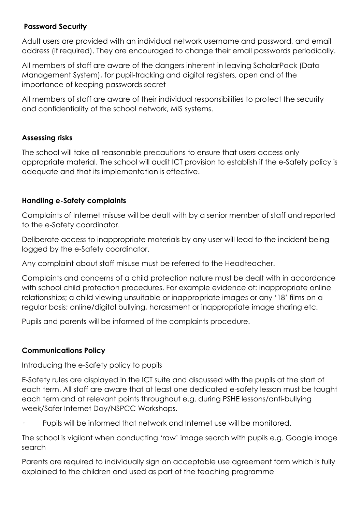#### **Password Security**

Adult users are provided with an individual network username and password, and email address (if required). They are encouraged to change their email passwords periodically.

All members of staff are aware of the dangers inherent in leaving ScholarPack (Data Management System), for pupil-tracking and digital registers, open and of the importance of keeping passwords secret

All members of staff are aware of their individual responsibilities to protect the security and confidentiality of the school network, MIS systems.

#### **Assessing risks**

The school will take all reasonable precautions to ensure that users access only appropriate material. The school will audit ICT provision to establish if the e-Safety policy is adequate and that its implementation is effective.

#### **Handling e-Safety complaints**

Complaints of Internet misuse will be dealt with by a senior member of staff and reported to the e-Safety coordinator.

Deliberate access to inappropriate materials by any user will lead to the incident being logged by the e-Safety coordinator.

Any complaint about staff misuse must be referred to the Headteacher.

Complaints and concerns of a child protection nature must be dealt with in accordance with school child protection procedures. For example evidence of: inappropriate online relationships; a child viewing unsuitable or inappropriate images or any '18' films on a regular basis; online/digital bullying, harassment or inappropriate image sharing etc.

Pupils and parents will be informed of the complaints procedure.

## **Communications Policy**

Introducing the e-Safety policy to pupils

E-Safety rules are displayed in the ICT suite and discussed with the pupils at the start of each term. All staff are aware that at least one dedicated e-safety lesson must be taught each term and at relevant points throughout e.g. during PSHE lessons/anti-bullying week/Safer Internet Day/NSPCC Workshops.

Pupils will be informed that network and Internet use will be monitored.

The school is vigilant when conducting 'raw' image search with pupils e.g. Google image search

Parents are required to individually sign an acceptable use agreement form which is fully explained to the children and used as part of the teaching programme